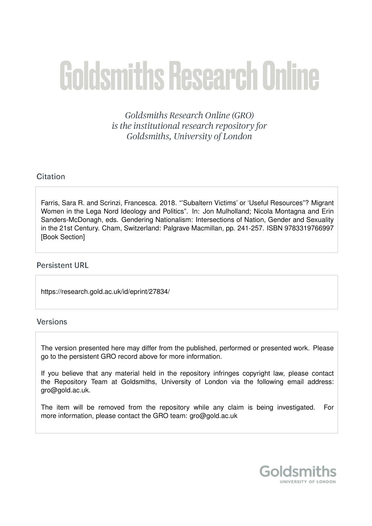# Goldsmiths Research Online

Goldsmiths Research Online (GRO) is the institutional research repository for Goldsmiths, University of London

# Citation

Farris, Sara R. and Scrinzi, Francesca. 2018. "'Subaltern Victims' or 'Useful Resources"? Migrant Women in the Lega Nord Ideology and Politics". In: Jon Mulholland; Nicola Montagna and Erin Sanders-McDonagh, eds. Gendering Nationalism: Intersections of Nation, Gender and Sexuality in the 21st Century. Cham, Switzerland: Palgrave Macmillan, pp. 241-257. ISBN 9783319766997 [Book Section]

# **Persistent URL**

https://research.gold.ac.uk/id/eprint/27834/

## **Versions**

The version presented here may differ from the published, performed or presented work. Please go to the persistent GRO record above for more information.

If you believe that any material held in the repository infringes copyright law, please contact the Repository Team at Goldsmiths, University of London via the following email address: gro@gold.ac.uk.

The item will be removed from the repository while any claim is being investigated. For more information, please contact the GRO team: gro@gold.ac.uk

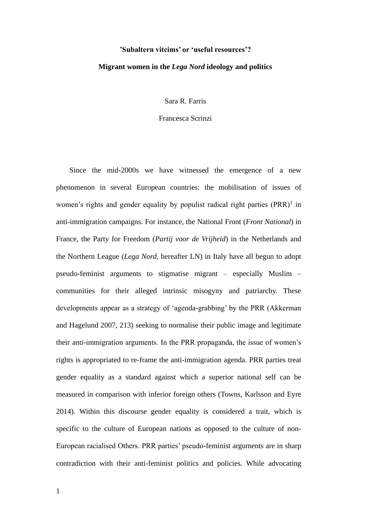# **'Subaltern vitcims' or 'useful resources'?**

### **Migrant women in the** *Lega Nord* **ideology and politics**

Sara R. Farris

Francesca Scrinzi

Since the mid-2000s we have witnessed the emergence of a new phenomenon in several European countries: the mobilisation of issues of women's rights and gender equality by populist radical right parties  $(PRR)^1$  in anti-immigration campaigns. For instance, the National Front (*Front National*) in France, the Party for Freedom (*Partij voor de Vrijheid*) in the Netherlands and the Northern League (*Lega Nord,* hereafter LN) in Italy have all begun to adopt pseudo-feminist arguments to stigmatise migrant – especially Muslim – communities for their alleged intrinsic misogyny and patriarchy. These developments appear as a strategy of 'agenda-grabbing' by the PRR (Akkerman and Hagelund 2007, 213) seeking to normalise their public image and legitimate their anti-immigration arguments. In the PRR propaganda, the issue of women's rights is appropriated to re-frame the anti-immigration agenda. PRR parties treat gender equality as a standard against which a superior national self can be measured in comparison with inferior foreign others (Towns, Karlsson and Eyre 2014). Within this discourse gender equality is considered a trait, which is specific to the culture of European nations as opposed to the culture of non-European racialised Others. PRR parties' pseudo-feminist arguments are in sharp contradiction with their anti-feminist politics and policies. While advocating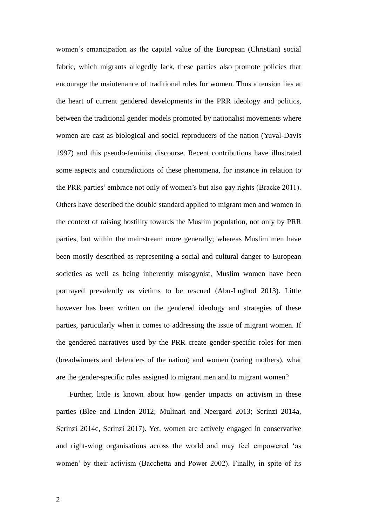women's emancipation as the capital value of the European (Christian) social fabric, which migrants allegedly lack, these parties also promote policies that encourage the maintenance of traditional roles for women. Thus a tension lies at the heart of current gendered developments in the PRR ideology and politics, between the traditional gender models promoted by nationalist movements where women are cast as biological and social reproducers of the nation (Yuval-Davis 1997) and this pseudo-feminist discourse. Recent contributions have illustrated some aspects and contradictions of these phenomena, for instance in relation to the PRR parties' embrace not only of women's but also gay rights (Bracke 2011). Others have described the double standard applied to migrant men and women in the context of raising hostility towards the Muslim population, not only by PRR parties, but within the mainstream more generally; whereas Muslim men have been mostly described as representing a social and cultural danger to European societies as well as being inherently misogynist, Muslim women have been portrayed prevalently as victims to be rescued (Abu-Lughod 2013). Little however has been written on the gendered ideology and strategies of these parties, particularly when it comes to addressing the issue of migrant women. If the gendered narratives used by the PRR create gender-specific roles for men (breadwinners and defenders of the nation) and women (caring mothers), what are the gender-specific roles assigned to migrant men and to migrant women?

Further, little is known about how gender impacts on activism in these parties (Blee and Linden 2012; Mulinari and Neergard 2013; Scrinzi 2014a, Scrinzi 2014c, Scrinzi 2017). Yet, women are actively engaged in conservative and right-wing organisations across the world and may feel empowered 'as women' by their activism (Bacchetta and Power 2002). Finally, in spite of its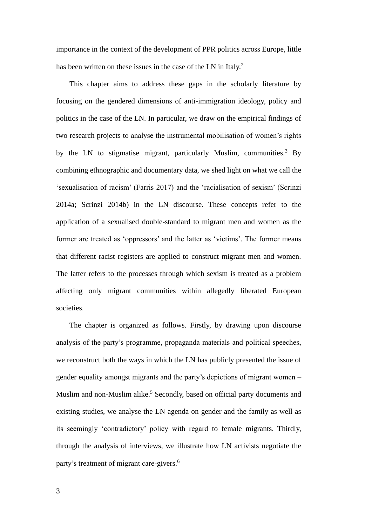importance in the context of the development of PPR politics across Europe, little has been written on these issues in the case of the LN in Italy.<sup>2</sup>

This chapter aims to address these gaps in the scholarly literature by focusing on the gendered dimensions of anti-immigration ideology, policy and politics in the case of the LN. In particular, we draw on the empirical findings of two research projects to analyse the instrumental mobilisation of women's rights by the LN to stigmatise migrant, particularly Muslim, communities.<sup>3</sup> By combining ethnographic and documentary data, we shed light on what we call the 'sexualisation of racism' (Farris 2017) and the 'racialisation of sexism' (Scrinzi 2014a; Scrinzi 2014b) in the LN discourse. These concepts refer to the application of a sexualised double-standard to migrant men and women as the former are treated as 'oppressors' and the latter as 'victims'. The former means that different racist registers are applied to construct migrant men and women. The latter refers to the processes through which sexism is treated as a problem affecting only migrant communities within allegedly liberated European societies.

The chapter is organized as follows. Firstly, by drawing upon discourse analysis of the party's programme, propaganda materials and political speeches, we reconstruct both the ways in which the LN has publicly presented the issue of gender equality amongst migrants and the party's depictions of migrant women – Muslim and non-Muslim alike.<sup>5</sup> Secondly, based on official party documents and existing studies, we analyse the LN agenda on gender and the family as well as its seemingly 'contradictory' policy with regard to female migrants. Thirdly, through the analysis of interviews, we illustrate how LN activists negotiate the party's treatment of migrant care-givers.<sup>6</sup>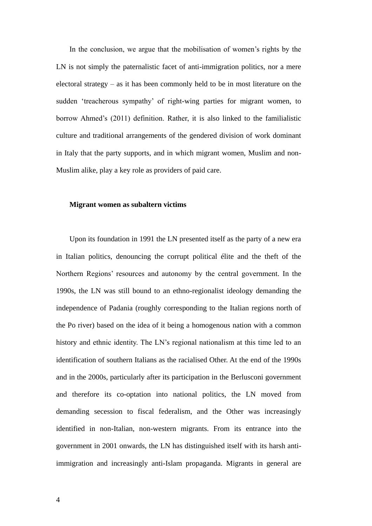In the conclusion, we argue that the mobilisation of women's rights by the LN is not simply the paternalistic facet of anti-immigration politics, nor a mere electoral strategy – as it has been commonly held to be in most literature on the sudden 'treacherous sympathy' of right-wing parties for migrant women, to borrow Ahmed's (2011) definition. Rather, it is also linked to the familialistic culture and traditional arrangements of the gendered division of work dominant in Italy that the party supports, and in which migrant women, Muslim and non-Muslim alike, play a key role as providers of paid care.

#### **Migrant women as subaltern victims**

Upon its foundation in 1991 the LN presented itself as the party of a new era in Italian politics, denouncing the corrupt political élite and the theft of the Northern Regions' resources and autonomy by the central government. In the 1990s, the LN was still bound to an ethno-regionalist ideology demanding the independence of Padania (roughly corresponding to the Italian regions north of the Po river) based on the idea of it being a homogenous nation with a common history and ethnic identity. The LN's regional nationalism at this time led to an identification of southern Italians as the racialised Other. At the end of the 1990s and in the 2000s, particularly after its participation in the Berlusconi government and therefore its co-optation into national politics, the LN moved from demanding secession to fiscal federalism, and the Other was increasingly identified in non-Italian, non-western migrants. From its entrance into the government in 2001 onwards, the LN has distinguished itself with its harsh antiimmigration and increasingly anti-Islam propaganda. Migrants in general are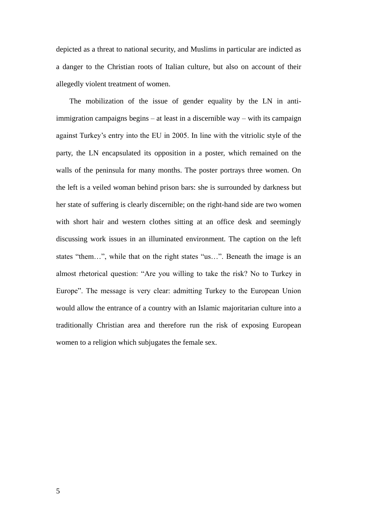depicted as a threat to national security, and Muslims in particular are indicted as a danger to the Christian roots of Italian culture, but also on account of their allegedly violent treatment of women.

The mobilization of the issue of gender equality by the LN in antiimmigration campaigns begins – at least in a discernible way – with its campaign against Turkey's entry into the EU in 2005. In line with the vitriolic style of the party, the LN encapsulated its opposition in a poster, which remained on the walls of the peninsula for many months. The poster portrays three women. On the left is a veiled woman behind prison bars: she is surrounded by darkness but her state of suffering is clearly discernible; on the right-hand side are two women with short hair and western clothes sitting at an office desk and seemingly discussing work issues in an illuminated environment. The caption on the left states "them…", while that on the right states "us…". Beneath the image is an almost rhetorical question: "Are you willing to take the risk? No to Turkey in Europe". The message is very clear: admitting Turkey to the European Union would allow the entrance of a country with an Islamic majoritarian culture into a traditionally Christian area and therefore run the risk of exposing European women to a religion which subjugates the female sex.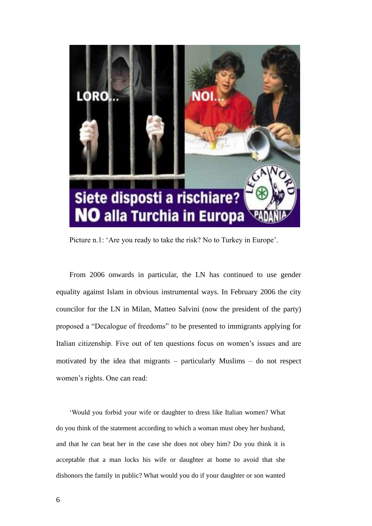

Picture n.1: 'Are you ready to take the risk? No to Turkey in Europe'.

From 2006 onwards in particular, the LN has continued to use gender equality against Islam in obvious instrumental ways. In February 2006 the city councilor for the LN in Milan, Matteo Salvini (now the president of the party) proposed a "Decalogue of freedoms" to be presented to immigrants applying for Italian citizenship. Five out of ten questions focus on women's issues and are motivated by the idea that migrants – particularly Muslims – do not respect women's rights. One can read:

'Would you forbid your wife or daughter to dress like Italian women? What do you think of the statement according to which a woman must obey her husband, and that he can beat her in the case she does not obey him? Do you think it is acceptable that a man locks his wife or daughter at home to avoid that she dishonors the family in public? What would you do if your daughter or son wanted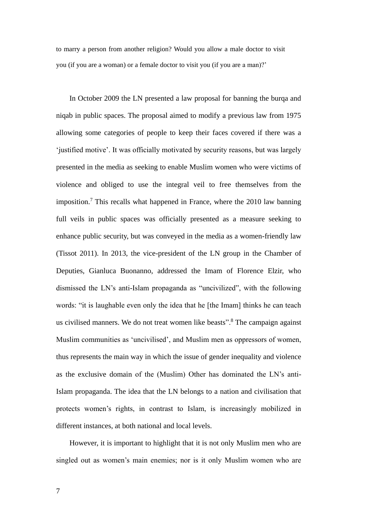to marry a person from another religion? Would you allow a male doctor to visit you (if you are a woman) or a female doctor to visit you (if you are a man)?'

In October 2009 the LN presented a law proposal for banning the burqa and niqab in public spaces. The proposal aimed to modify a previous law from 1975 allowing some categories of people to keep their faces covered if there was a 'justified motive'. It was officially motivated by security reasons, but was largely presented in the media as seeking to enable Muslim women who were victims of violence and obliged to use the integral veil to free themselves from the imposition.<sup>7</sup> This recalls what happened in France, where the 2010 law banning full veils in public spaces was officially presented as a measure seeking to enhance public security, but was conveyed in the media as a women-friendly law (Tissot 2011). In 2013, the vice-president of the LN group in the Chamber of Deputies, Gianluca Buonanno, addressed the Imam of Florence Elzir, who dismissed the LN's anti-Islam propaganda as "uncivilized", with the following words: "it is laughable even only the idea that he [the Imam] thinks he can teach us civilised manners. We do not treat women like beasts".<sup>8</sup> The campaign against Muslim communities as 'uncivilised', and Muslim men as oppressors of women, thus represents the main way in which the issue of gender inequality and violence as the exclusive domain of the (Muslim) Other has dominated the LN's anti-Islam propaganda. The idea that the LN belongs to a nation and civilisation that protects women's rights, in contrast to Islam, is increasingly mobilized in different instances, at both national and local levels.

However, it is important to highlight that it is not only Muslim men who are singled out as women's main enemies; nor is it only Muslim women who are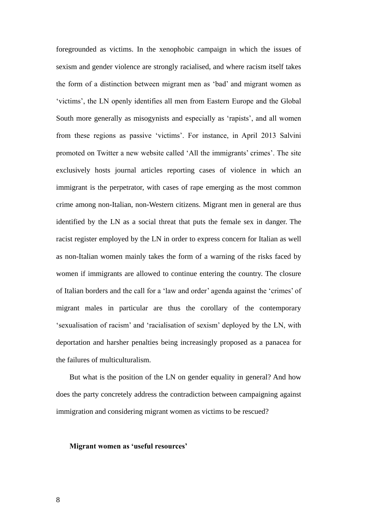foregrounded as victims. In the xenophobic campaign in which the issues of sexism and gender violence are strongly racialised, and where racism itself takes the form of a distinction between migrant men as 'bad' and migrant women as 'victims', the LN openly identifies all men from Eastern Europe and the Global South more generally as misogynists and especially as 'rapists', and all women from these regions as passive 'victims'. For instance, in April 2013 Salvini promoted on Twitter a new website called 'All the immigrants' crimes'. The site exclusively hosts journal articles reporting cases of violence in which an immigrant is the perpetrator, with cases of rape emerging as the most common crime among non-Italian, non-Western citizens. Migrant men in general are thus identified by the LN as a social threat that puts the female sex in danger. The racist register employed by the LN in order to express concern for Italian as well as non-Italian women mainly takes the form of a warning of the risks faced by women if immigrants are allowed to continue entering the country. The closure of Italian borders and the call for a 'law and order' agenda against the 'crimes' of migrant males in particular are thus the corollary of the contemporary 'sexualisation of racism' and 'racialisation of sexism' deployed by the LN, with deportation and harsher penalties being increasingly proposed as a panacea for the failures of multiculturalism.

But what is the position of the LN on gender equality in general? And how does the party concretely address the contradiction between campaigning against immigration and considering migrant women as victims to be rescued?

#### **Migrant women as 'useful resources'**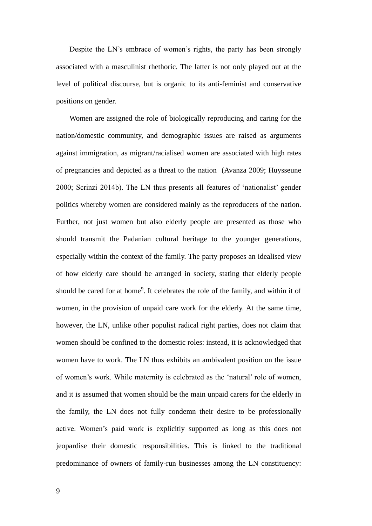Despite the LN's embrace of women's rights, the party has been strongly associated with a masculinist rhethoric. The latter is not only played out at the level of political discourse, but is organic to its anti-feminist and conservative positions on gender.

Women are assigned the role of biologically reproducing and caring for the nation/domestic community, and demographic issues are raised as arguments against immigration, as migrant/racialised women are associated with high rates of pregnancies and depicted as a threat to the nation (Avanza 2009; Huysseune 2000; Scrinzi 2014b). The LN thus presents all features of 'nationalist' gender politics whereby women are considered mainly as the reproducers of the nation. Further, not just women but also elderly people are presented as those who should transmit the Padanian cultural heritage to the younger generations, especially within the context of the family. The party proposes an idealised view of how elderly care should be arranged in society, stating that elderly people should be cared for at home<sup>9</sup>. It celebrates the role of the family, and within it of women, in the provision of unpaid care work for the elderly. At the same time, however, the LN, unlike other populist radical right parties, does not claim that women should be confined to the domestic roles: instead, it is acknowledged that women have to work. The LN thus exhibits an ambivalent position on the issue of women's work. While maternity is celebrated as the 'natural' role of women, and it is assumed that women should be the main unpaid carers for the elderly in the family, the LN does not fully condemn their desire to be professionally active. Women's paid work is explicitly supported as long as this does not jeopardise their domestic responsibilities. This is linked to the traditional predominance of owners of family-run businesses among the LN constituency: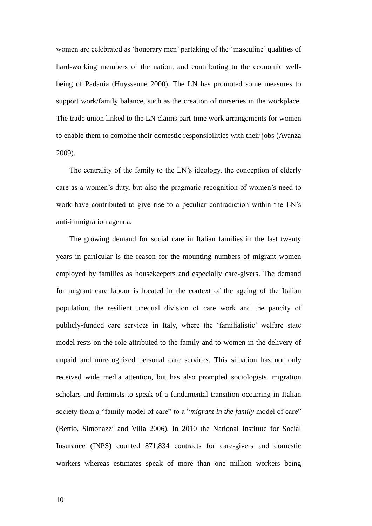women are celebrated as 'honorary men' partaking of the 'masculine' qualities of hard-working members of the nation, and contributing to the economic wellbeing of Padania (Huysseune 2000). The LN has promoted some measures to support work/family balance, such as the creation of nurseries in the workplace. The trade union linked to the LN claims part-time work arrangements for women to enable them to combine their domestic responsibilities with their jobs (Avanza 2009).

The centrality of the family to the LN's ideology, the conception of elderly care as a women's duty, but also the pragmatic recognition of women's need to work have contributed to give rise to a peculiar contradiction within the LN's anti-immigration agenda.

The growing demand for social care in Italian families in the last twenty years in particular is the reason for the mounting numbers of migrant women employed by families as housekeepers and especially care-givers. The demand for migrant care labour is located in the context of the ageing of the Italian population, the resilient unequal division of care work and the paucity of publicly-funded care services in Italy, where the 'familialistic' welfare state model rests on the role attributed to the family and to women in the delivery of unpaid and unrecognized personal care services. This situation has not only received wide media attention, but has also prompted sociologists, migration scholars and feminists to speak of a fundamental transition occurring in Italian society from a "family model of care" to a "*migrant in the family* model of care" (Bettio, Simonazzi and Villa 2006). In 2010 the National Institute for Social Insurance (INPS) counted 871,834 contracts for care-givers and domestic workers whereas estimates speak of more than one million workers being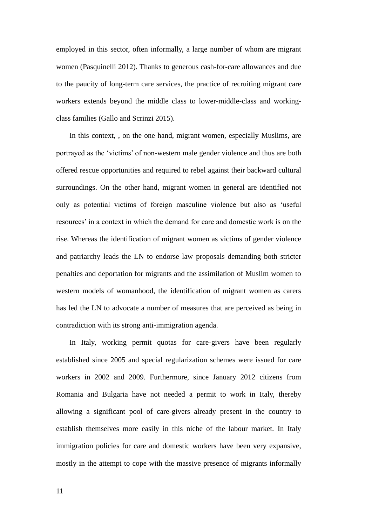employed in this sector, often informally, a large number of whom are migrant women (Pasquinelli 2012). Thanks to generous cash-for-care allowances and due to the paucity of long-term care services, the practice of recruiting migrant care workers extends beyond the middle class to lower-middle-class and workingclass families (Gallo and Scrinzi 2015).

In this context, , on the one hand, migrant women, especially Muslims, are portrayed as the 'victims' of non-western male gender violence and thus are both offered rescue opportunities and required to rebel against their backward cultural surroundings. On the other hand, migrant women in general are identified not only as potential victims of foreign masculine violence but also as 'useful resources' in a context in which the demand for care and domestic work is on the rise. Whereas the identification of migrant women as victims of gender violence and patriarchy leads the LN to endorse law proposals demanding both stricter penalties and deportation for migrants and the assimilation of Muslim women to western models of womanhood, the identification of migrant women as carers has led the LN to advocate a number of measures that are perceived as being in contradiction with its strong anti-immigration agenda.

In Italy, working permit quotas for care-givers have been regularly established since 2005 and special regularization schemes were issued for care workers in 2002 and 2009. Furthermore, since January 2012 citizens from Romania and Bulgaria have not needed a permit to work in Italy, thereby allowing a significant pool of care-givers already present in the country to establish themselves more easily in this niche of the labour market. In Italy immigration policies for care and domestic workers have been very expansive, mostly in the attempt to cope with the massive presence of migrants informally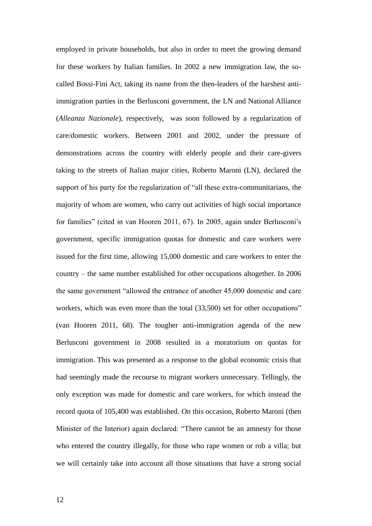employed in private households, but also in order to meet the growing demand for these workers by Italian families. In 2002 a new immigration law, the socalled Bossi-Fini Act, taking its name from the then-leaders of the harshest antiimmigration parties in the Berlusconi government, the LN and National Alliance (*Alleanza Nazionale*), respectively, was soon followed by a regularization of care/domestic workers. Between 2001 and 2002, under the pressure of demonstrations across the country with elderly people and their care-givers taking to the streets of Italian major cities, Roberto Maroni (LN), declared the support of his party for the regularization of "all these extra-communitarians, the majority of whom are women, who carry out activities of high social importance for families" (cited in van Hooren 2011, 67). In 2005, again under Berlusconi's government, specific immigration quotas for domestic and care workers were issued for the first time, allowing 15,000 domestic and care workers to enter the country – the same number established for other occupations altogether. In 2006 the same government "allowed the entrance of another 45,000 domestic and care workers, which was even more than the total (33,500) set for other occupations" (van Hooren 2011, 68). The tougher anti-immigration agenda of the new Berlusconi government in 2008 resulted in a moratorium on quotas for immigration. This was presented as a response to the global economic crisis that had seemingly made the recourse to migrant workers unnecessary. Tellingly, the only exception was made for domestic and care workers, for which instead the record quota of 105,400 was established. On this occasion, Roberto Maroni (then Minister of the Interior) again declared: "There cannot be an amnesty for those who entered the country illegally, for those who rape women or rob a villa; but we will certainly take into account all those situations that have a strong social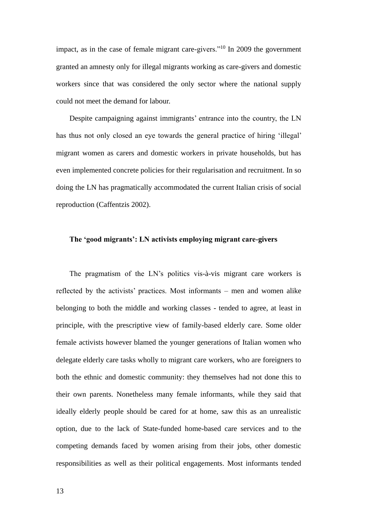impact, as in the case of female migrant care-givers."<sup>10</sup> In 2009 the government granted an amnesty only for illegal migrants working as care-givers and domestic workers since that was considered the only sector where the national supply could not meet the demand for labour.

Despite campaigning against immigrants' entrance into the country, the LN has thus not only closed an eye towards the general practice of hiring 'illegal' migrant women as carers and domestic workers in private households, but has even implemented concrete policies for their regularisation and recruitment. In so doing the LN has pragmatically accommodated the current Italian crisis of social reproduction (Caffentzis 2002).

#### **The 'good migrants': LN activists employing migrant care-givers**

The pragmatism of the LN's politics vis-à-vis migrant care workers is reflected by the activists' practices. Most informants – men and women alike belonging to both the middle and working classes - tended to agree, at least in principle, with the prescriptive view of family-based elderly care. Some older female activists however blamed the younger generations of Italian women who delegate elderly care tasks wholly to migrant care workers, who are foreigners to both the ethnic and domestic community: they themselves had not done this to their own parents. Nonetheless many female informants, while they said that ideally elderly people should be cared for at home, saw this as an unrealistic option, due to the lack of State-funded home-based care services and to the competing demands faced by women arising from their jobs, other domestic responsibilities as well as their political engagements. Most informants tended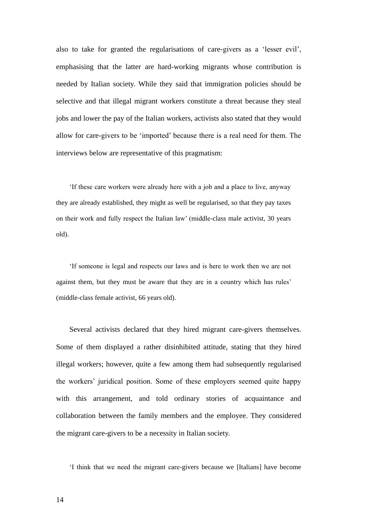also to take for granted the regularisations of care-givers as a 'lesser evil', emphasising that the latter are hard-working migrants whose contribution is needed by Italian society. While they said that immigration policies should be selective and that illegal migrant workers constitute a threat because they steal jobs and lower the pay of the Italian workers, activists also stated that they would allow for care-givers to be 'imported' because there is a real need for them. The interviews below are representative of this pragmatism:

'If these care workers were already here with a job and a place to live, anyway they are already established, they might as well be regularised, so that they pay taxes on their work and fully respect the Italian law' (middle-class male activist, 30 years old).

'If someone is legal and respects our laws and is here to work then we are not against them, but they must be aware that they are in a country which has rules' (middle-class female activist, 66 years old).

Several activists declared that they hired migrant care-givers themselves. Some of them displayed a rather disinhibited attitude, stating that they hired illegal workers; however, quite a few among them had subsequently regularised the workers' juridical position. Some of these employers seemed quite happy with this arrangement, and told ordinary stories of acquaintance and collaboration between the family members and the employee. They considered the migrant care-givers to be a necessity in Italian society.

'I think that we need the migrant care-givers because we [Italians] have become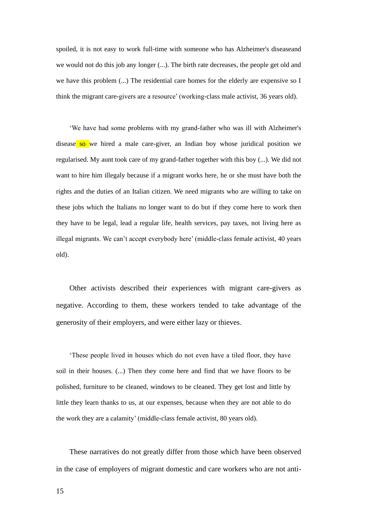spoiled, it is not easy to work full-time with someone who has Alzheimer's diseaseand we would not do this job any longer (...). The birth rate decreases, the people get old and we have this problem (...) The residential care homes for the elderly are expensive so I think the migrant care-givers are a resource' (working-class male activist, 36 years old).

'We have had some problems with my grand-father who was ill with Alzheimer's disease so we hired a male care-giver, an Indian boy whose juridical position we regularised. My aunt took care of my grand-father together with this boy (...). We did not want to hire him illegaly because if a migrant works here, he or she must have both the rights and the duties of an Italian citizen. We need migrants who are willing to take on these jobs which the Italians no longer want to do but if they come here to work then they have to be legal, lead a regular life, health services, pay taxes, not living here as illegal migrants. We can't accept everybody here' (middle-class female activist, 40 years old).

Other activists described their experiences with migrant care-givers as negative. According to them, these workers tended to take advantage of the generosity of their employers, and were either lazy or thieves.

'These people lived in houses which do not even have a tiled floor, they have soil in their houses. (...) Then they come here and find that we have floors to be polished, furniture to be cleaned, windows to be cleaned. They get lost and little by little they learn thanks to us, at our expenses, because when they are not able to do the work they are a calamity' (middle-class female activist, 80 years old).

These narratives do not greatly differ from those which have been observed in the case of employers of migrant domestic and care workers who are not anti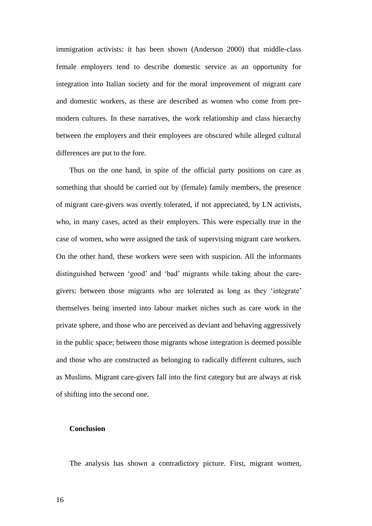immigration activists: it has been shown (Anderson 2000) that middle-class female employers tend to describe domestic service as an opportunity for integration into Italian society and for the moral improvement of migrant care and domestic workers, as these are described as women who come from premodern cultures. In these narratives, the work relationship and class hierarchy between the employers and their employees are obscured while alleged cultural differences are put to the fore.

Thus on the one hand, in spite of the official party positions on care as something that should be carried out by (female) family members, the presence of migrant care-givers was overtly tolerated, if not appreciated, by LN activists, who, in many cases, acted as their employers. This were especially true in the case of women, who were assigned the task of supervising migrant care workers. On the other hand, these workers were seen with suspicion. All the informants distinguished between 'good' and 'bad' migrants while taking about the caregivers: between those migrants who are tolerated as long as they 'integrate' themselves being inserted into labour market niches such as care work in the private sphere, and those who are perceived as deviant and behaving aggressively in the public space; between those migrants whose integration is deemed possible and those who are constructed as belonging to radically different cultures, such as Muslims. Migrant care-givers fall into the first category but are always at risk of shifting into the second one.

# **Conclusion**

The analysis has shown a contradictory picture. First, migrant women,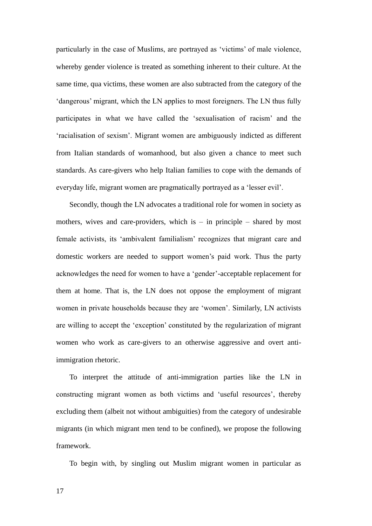particularly in the case of Muslims, are portrayed as 'victims' of male violence, whereby gender violence is treated as something inherent to their culture. At the same time, qua victims, these women are also subtracted from the category of the 'dangerous' migrant, which the LN applies to most foreigners. The LN thus fully participates in what we have called the 'sexualisation of racism' and the 'racialisation of sexism'. Migrant women are ambiguously indicted as different from Italian standards of womanhood, but also given a chance to meet such standards. As care-givers who help Italian families to cope with the demands of everyday life, migrant women are pragmatically portrayed as a 'lesser evil'.

Secondly, though the LN advocates a traditional role for women in society as mothers, wives and care-providers, which is  $-$  in principle  $-$  shared by most female activists, its 'ambivalent familialism' recognizes that migrant care and domestic workers are needed to support women's paid work. Thus the party acknowledges the need for women to have a 'gender'-acceptable replacement for them at home. That is, the LN does not oppose the employment of migrant women in private households because they are 'women'. Similarly, LN activists are willing to accept the 'exception' constituted by the regularization of migrant women who work as care-givers to an otherwise aggressive and overt antiimmigration rhetoric.

To interpret the attitude of anti-immigration parties like the LN in constructing migrant women as both victims and 'useful resources', thereby excluding them (albeit not without ambiguities) from the category of undesirable migrants (in which migrant men tend to be confined), we propose the following framework.

To begin with, by singling out Muslim migrant women in particular as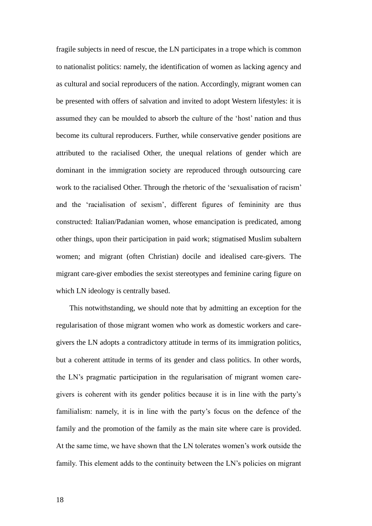fragile subjects in need of rescue, the LN participates in a trope which is common to nationalist politics: namely, the identification of women as lacking agency and as cultural and social reproducers of the nation. Accordingly, migrant women can be presented with offers of salvation and invited to adopt Western lifestyles: it is assumed they can be moulded to absorb the culture of the 'host' nation and thus become its cultural reproducers. Further, while conservative gender positions are attributed to the racialised Other, the unequal relations of gender which are dominant in the immigration society are reproduced through outsourcing care work to the racialised Other. Through the rhetoric of the 'sexualisation of racism' and the 'racialisation of sexism', different figures of femininity are thus constructed: Italian/Padanian women, whose emancipation is predicated, among other things, upon their participation in paid work; stigmatised Muslim subaltern women; and migrant (often Christian) docile and idealised care-givers. The migrant care-giver embodies the sexist stereotypes and feminine caring figure on which LN ideology is centrally based.

This notwithstanding, we should note that by admitting an exception for the regularisation of those migrant women who work as domestic workers and caregivers the LN adopts a contradictory attitude in terms of its immigration politics, but a coherent attitude in terms of its gender and class politics. In other words, the LN's pragmatic participation in the regularisation of migrant women caregivers is coherent with its gender politics because it is in line with the party's familialism: namely, it is in line with the party's focus on the defence of the family and the promotion of the family as the main site where care is provided. At the same time, we have shown that the LN tolerates women's work outside the family. This element adds to the continuity between the LN's policies on migrant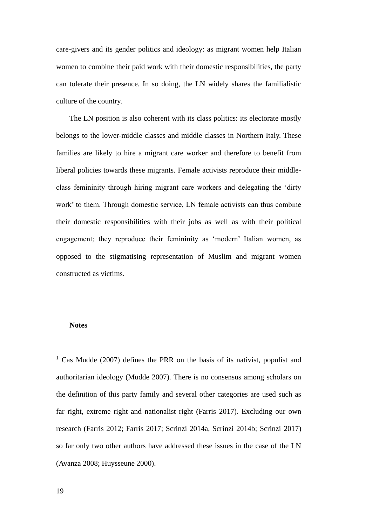care-givers and its gender politics and ideology: as migrant women help Italian women to combine their paid work with their domestic responsibilities, the party can tolerate their presence. In so doing, the LN widely shares the familialistic culture of the country.

The LN position is also coherent with its class politics: its electorate mostly belongs to the lower-middle classes and middle classes in Northern Italy. These families are likely to hire a migrant care worker and therefore to benefit from liberal policies towards these migrants. Female activists reproduce their middleclass femininity through hiring migrant care workers and delegating the 'dirty work' to them. Through domestic service, LN female activists can thus combine their domestic responsibilities with their jobs as well as with their political engagement; they reproduce their femininity as 'modern' Italian women, as opposed to the stigmatising representation of Muslim and migrant women constructed as victims.

#### **Notes**

 $1$  Cas Mudde (2007) defines the PRR on the basis of its nativist, populist and authoritarian ideology (Mudde 2007). There is no consensus among scholars on the definition of this party family and several other categories are used such as far right, extreme right and nationalist right (Farris 2017). Excluding our own research (Farris 2012; Farris 2017; Scrinzi 2014a, Scrinzi 2014b; Scrinzi 2017) so far only two other authors have addressed these issues in the case of the LN (Avanza 2008; Huysseune 2000).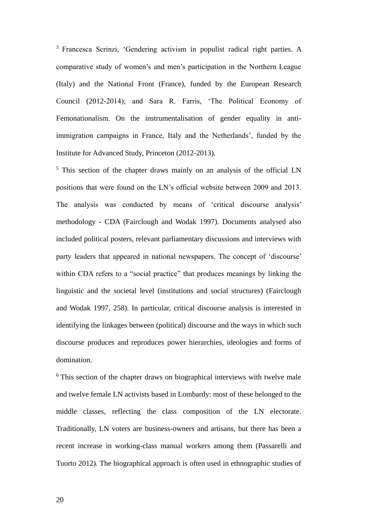<sup>3</sup> Francesca Scrinzi, 'Gendering activism in populist radical right parties. A comparative study of women's and men's participation in the Northern League (Italy) and the National Front (France), funded by the European Research Council (2012-2014); and Sara R. Farris, 'The Political Economy of Femonationalism. On the instrumentalisation of gender equality in antiimmigration campaigns in France, Italy and the Netherlands', funded by the Institute for Advanced Study, Princeton (2012-2013).

<sup>5</sup> This section of the chapter draws mainly on an analysis of the official LN positions that were found on the LN's official website between 2009 and 2013. The analysis was conducted by means of 'critical discourse analysis' methodology - CDA (Fairclough and Wodak 1997). Documents analysed also included political posters, relevant parliamentary discussions and interviews with party leaders that appeared in national newspapers. The concept of 'discourse' within CDA refers to a "social practice" that produces meanings by linking the linguistic and the societal level (institutions and social structures) (Fairclough and Wodak 1997, 258). In particular, critical discourse analysis is interested in identifying the linkages between (political) discourse and the ways in which such discourse produces and reproduces power hierarchies, ideologies and forms of domination.

<sup>6</sup>This section of the chapter draws on biographical interviews with twelve male and twelve female LN activists based in Lombardy: most of these belonged to the middle classes, reflecting the class composition of the LN electorate. Traditionally, LN voters are business-owners and artisans, but there has been a recent increase in working-class manual workers among them (Passarelli and Tuorto 2012). The biographical approach is often used in ethnographic studies of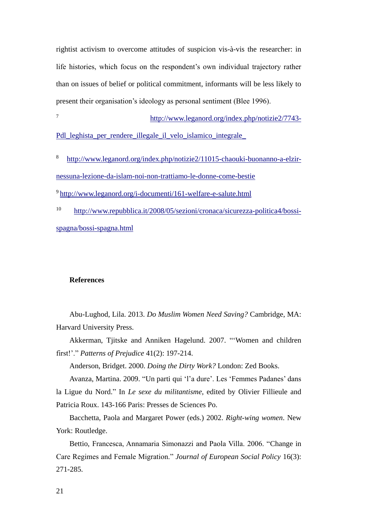rightist activism to overcome attitudes of suspicion vis-à-vis the researcher: in life histories, which focus on the respondent's own individual trajectory rather than on issues of belief or political commitment, informants will be less likely to present their organisation's ideology as personal sentiment (Blee 1996).

7 [http://www.leganord.org/index.php/notizie2/7743-](http://www.leganord.org/index.php/notizie2/7743-Pdl_leghista_per_rendere_illegale_il_velo_islamico_integrale_)

[Pdl\\_leghista\\_per\\_rendere\\_illegale\\_il\\_velo\\_islamico\\_integrale\\_](http://www.leganord.org/index.php/notizie2/7743-Pdl_leghista_per_rendere_illegale_il_velo_islamico_integrale_)

8 [http://www.leganord.org/index.php/notizie2/11015-chaouki-buonanno-a-elzir](http://www.leganord.org/index.php/notizie2/11015-chaouki-buonanno-a-elzir-nessuna-lezione-da-islam-noi-non-trattiamo-le-donne-come-bestie)[nessuna-lezione-da-islam-noi-non-trattiamo-le-donne-come-bestie](http://www.leganord.org/index.php/notizie2/11015-chaouki-buonanno-a-elzir-nessuna-lezione-da-islam-noi-non-trattiamo-le-donne-come-bestie)

<sup>9</sup><http://www.leganord.org/i-documenti/161-welfare-e-salute.html>

 $10$ [http://www.repubblica.it/2008/05/sezioni/cronaca/sicurezza-politica4/bossi](http://www.repubblica.it/2008/05/sezioni/cronaca/sicurezza-politica4/bossi-spagna/bossi-spagna.html)[spagna/bossi-spagna.html](http://www.repubblica.it/2008/05/sezioni/cronaca/sicurezza-politica4/bossi-spagna/bossi-spagna.html)

#### **References**

Abu-Lughod, Lila. 2013. *Do Muslim Women Need Saving?* Cambridge, MA: Harvard University Press.

Akkerman, Tjitske and Anniken Hagelund. 2007. "'Women and children first!'." *Patterns of Prejudice* 41(2): 197-214.

Anderson, Bridget. 2000. *Doing the Dirty Work?* London: Zed Books.

Avanza, Martina. 2009. "Un parti qui 'l'a dure'. Les 'Femmes Padanes' dans la Ligue du Nord." In *Le sexe du militantisme*, edited by Olivier Fillieule and Patricia Roux. 143-166 Paris: Presses de Sciences Po.

Bacchetta, Paola and Margaret Power (eds.) 2002. *Right-wing women*. New York: Routledge.

Bettio, Francesca, Annamaria Simonazzi and Paola Villa. 2006. "Change in Care Regimes and Female Migration." *Journal of European Social Policy* 16(3): 271-285.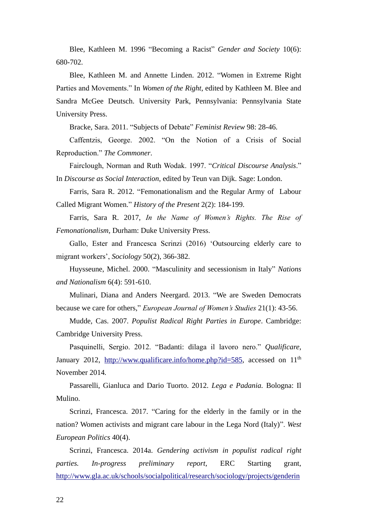Blee, Kathleen M. 1996 "Becoming a Racist" *Gender and Society* 10(6): 680-702.

Blee, Kathleen M. and Annette Linden. 2012. "Women in Extreme Right Parties and Movements." In *Women of the Right*, edited by Kathleen M. Blee and Sandra McGee Deutsch. University Park, Pennsylvania: Pennsylvania State University Press.

Bracke, Sara. 2011. "Subjects of Debate" *Feminist Review* 98: 28-46.

Caffentzis, George. 2002. "On the Notion of a Crisis of Social Reproduction." *The Commoner*.

Fairclough, Norman and Ruth Wodak. 1997. "*Critical Discourse Analysis*."

In *Discourse as Social Interaction*, edited by Teun van Dijk. Sage: London.

Farris, Sara R. 2012. "Femonationalism and the Regular Army of Labour Called Migrant Women." *History of the Present* 2(2): 184-199.

Farris, Sara R. 2017, *In the Name of Women's Rights. The Rise of Femonationalism,* Durham: Duke University Press.

Gallo, Ester and Francesca Scrinzi (2016) 'Outsourcing elderly care to migrant workers', *Sociology* 50(2), 366-382.

Huysseune, Michel. 2000. "Masculinity and secessionism in Italy" *Nations and Nationalism* 6(4): 591-610.

Mulinari, Diana and Anders Neergard. 2013. "We are Sweden Democrats because we care for others," *European Journal of Women's Studies* 21(1): 43-56.

Mudde, Cas. 2007. *Populist Radical Right Parties in Europe*. Cambridge: Cambridge University Press.

Pasquinelli, Sergio. 2012. "Badanti: dilaga il lavoro nero." *Qualificare*, January 2012, [http://www.qualificare.info/home.php?id=585,](http://www.qualificare.info/home.php?id=585) accessed on 11<sup>th</sup> November 2014*.*

Passarelli, Gianluca and Dario Tuorto. 2012. *Lega e Padania.* Bologna: Il Mulino.

Scrinzi, Francesca. 2017. "Caring for the elderly in the family or in the nation? Women activists and migrant care labour in the Lega Nord (Italy)". *West European Politics* 40(4).

Scrinzi, Francesca. 2014a. *Gendering activism in populist radical right parties. In-progress preliminary report*, ERC Starting grant, [http://www.gla.ac.uk/schools/socialpolitical/research/sociology/projects/genderin](http://www.gla.ac.uk/schools/socialpolitical/research/sociology/projects/genderingactivisminpopulistradicalrightparties/publications/preliminary%20report/)